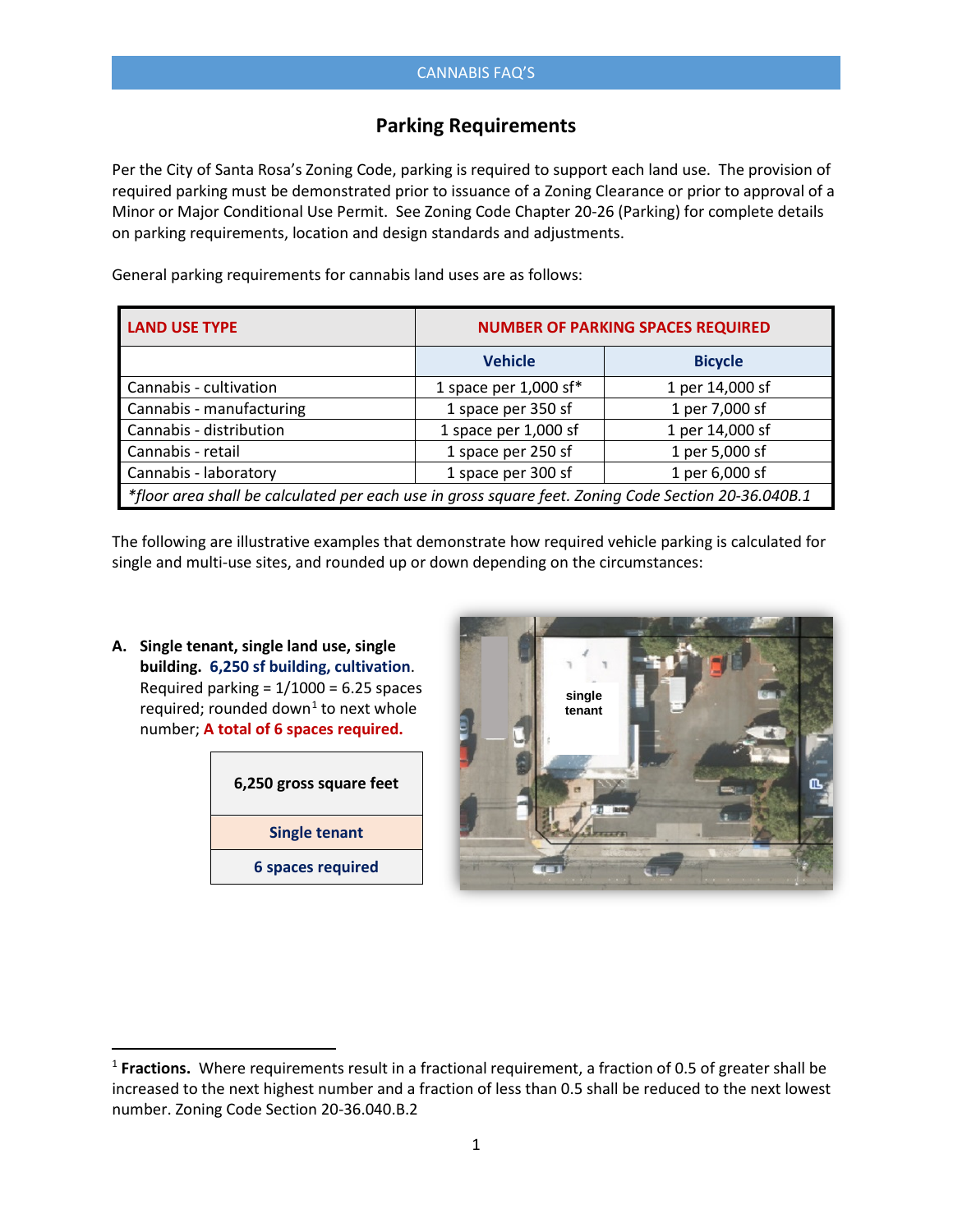## **Parking Requirements**

Per the City of Santa Rosa's Zoning Code, parking is required to support each land use. The provision of required parking must be demonstrated prior to issuance of a Zoning Clearance or prior to approval of a Minor or Major Conditional Use Permit. See Zoning Code Chapter 20-26 (Parking) for complete details on parking requirements, location and design standards and adjustments.

General parking requirements for cannabis land uses are as follows:

| <b>LAND USE TYPE</b>                                                                                | <b>NUMBER OF PARKING SPACES REQUIRED</b> |                 |  |
|-----------------------------------------------------------------------------------------------------|------------------------------------------|-----------------|--|
|                                                                                                     | <b>Vehicle</b>                           | <b>Bicycle</b>  |  |
| Cannabis - cultivation                                                                              | 1 space per $1,000$ sf*                  | 1 per 14,000 sf |  |
| Cannabis - manufacturing                                                                            | 1 space per 350 sf                       | 1 per 7,000 sf  |  |
| Cannabis - distribution                                                                             | 1 space per 1,000 sf                     | 1 per 14,000 sf |  |
| Cannabis - retail                                                                                   | 1 space per 250 sf                       | 1 per 5,000 sf  |  |
| Cannabis - laboratory                                                                               | 1 space per 300 sf                       | 1 per 6,000 sf  |  |
| *floor area shall be calculated per each use in gross square feet. Zoning Code Section 20-36.040B.1 |                                          |                 |  |

The following are illustrative examples that demonstrate how required vehicle parking is calculated for single and multi-use sites, and rounded up or down depending on the circumstances:

**A. Single tenant, single land use, single building. 6,250 sf building, cultivation**. Required parking =  $1/1000 = 6.25$  spaces required; rounded down<sup>[1](#page-0-0)</sup> to next whole number; **A total of 6 spaces required.**

| 6,250 gross square feet  |
|--------------------------|
| Single tenant            |
| <b>6 spaces required</b> |



<span id="page-0-0"></span><sup>&</sup>lt;sup>1</sup> Fractions. Where requirements result in a fractional requirement, a fraction of 0.5 of greater shall be increased to the next highest number and a fraction of less than 0.5 shall be reduced to the next lowest number. Zoning Code Section 20-36.040.B.2